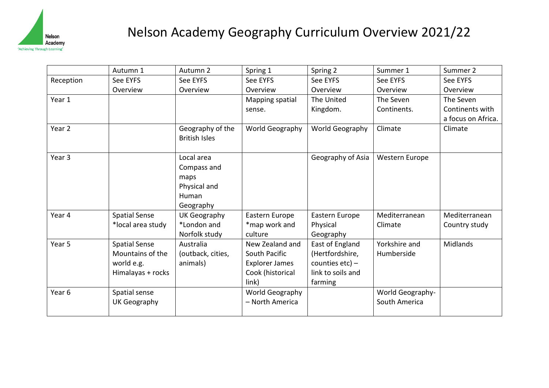

## Nelson Academy Geography Curriculum Overview 2021/22

|           | Autumn 1             | Autumn 2             | Spring 1              | Spring 2           | Summer 1         | Summer 2           |
|-----------|----------------------|----------------------|-----------------------|--------------------|------------------|--------------------|
| Reception | See EYFS             | See EYFS             | See EYFS              | See EYFS           | See EYFS         | See EYFS           |
|           | Overview             | Overview             | Overview              | Overview           | Overview         | Overview           |
| Year 1    |                      |                      | Mapping spatial       | The United         | The Seven        | The Seven          |
|           |                      |                      | sense.                | Kingdom.           | Continents.      | Continents with    |
|           |                      |                      |                       |                    |                  | a focus on Africa. |
| Year 2    |                      | Geography of the     | World Geography       | World Geography    | Climate          | Climate            |
|           |                      | <b>British Isles</b> |                       |                    |                  |                    |
|           |                      |                      |                       |                    |                  |                    |
| Year 3    |                      | Local area           |                       | Geography of Asia  | Western Europe   |                    |
|           |                      | Compass and          |                       |                    |                  |                    |
|           |                      | maps                 |                       |                    |                  |                    |
|           |                      | Physical and         |                       |                    |                  |                    |
|           |                      | Human                |                       |                    |                  |                    |
|           |                      | Geography            |                       |                    |                  |                    |
| Year 4    | <b>Spatial Sense</b> | UK Geography         | Eastern Europe        | Eastern Europe     | Mediterranean    | Mediterranean      |
|           | *local area study    | *London and          | *map work and         | Physical           | Climate          | Country study      |
|           |                      | Norfolk study        | culture               | Geography          |                  |                    |
| Year 5    | <b>Spatial Sense</b> | Australia            | New Zealand and       | East of England    | Yorkshire and    | <b>Midlands</b>    |
|           | Mountains of the     | (outback, cities,    | South Pacific         | (Hertfordshire,    | Humberside       |                    |
|           | world e.g.           | animals)             | <b>Explorer James</b> | counties $etc$ ) – |                  |                    |
|           | Himalayas + rocks    |                      | Cook (historical      | link to soils and  |                  |                    |
|           |                      |                      | link)                 | farming            |                  |                    |
| Year 6    | Spatial sense        |                      | World Geography       |                    | World Geography- |                    |
|           | UK Geography         |                      | - North America       |                    | South America    |                    |
|           |                      |                      |                       |                    |                  |                    |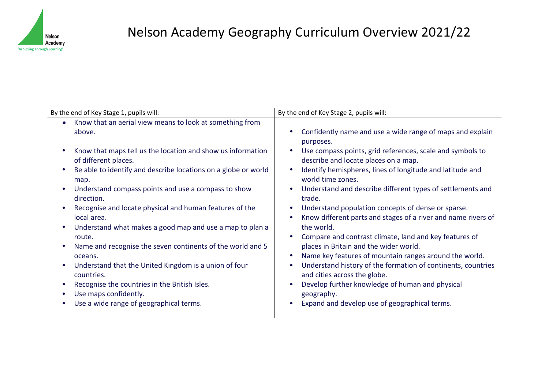

## Nelson Academy Geography Curriculum Overview 2021/22

| Know that an aerial view means to look at something from<br>Confidently name and use a wide range of maps and explain<br>above.<br>purposes.<br>Know that maps tell us the location and show us information<br>Use compass points, grid references, scale and symbols to<br>of different places.<br>describe and locate places on a map.<br>Be able to identify and describe locations on a globe or world<br>Identify hemispheres, lines of longitude and latitude and<br>world time zones.<br>map.<br>Understand compass points and use a compass to show<br>Understand and describe different types of settlements and<br>direction.<br>trade.<br>Recognise and locate physical and human features of the<br>Understand population concepts of dense or sparse.<br>local area.<br>Know different parts and stages of a river and name rivers of<br>Understand what makes a good map and use a map to plan a<br>the world.<br>Compare and contrast climate, land and key features of<br>route. | By the end of Key Stage 1, pupils will:                    | By the end of Key Stage 2, pupils will: |  |  |
|--------------------------------------------------------------------------------------------------------------------------------------------------------------------------------------------------------------------------------------------------------------------------------------------------------------------------------------------------------------------------------------------------------------------------------------------------------------------------------------------------------------------------------------------------------------------------------------------------------------------------------------------------------------------------------------------------------------------------------------------------------------------------------------------------------------------------------------------------------------------------------------------------------------------------------------------------------------------------------------------------|------------------------------------------------------------|-----------------------------------------|--|--|
| Name key features of mountain ranges around the world.<br>oceans.<br>Understand that the United Kingdom is a union of four<br>Understand history of the formation of continents, countries<br>and cities across the globe.<br>countries.<br>Develop further knowledge of human and physical<br>Recognise the countries in the British Isles.<br>Use maps confidently.<br>geography.<br>Use a wide range of geographical terms.<br>Expand and develop use of geographical terms.                                                                                                                                                                                                                                                                                                                                                                                                                                                                                                                  | Name and recognise the seven continents of the world and 5 | places in Britain and the wider world.  |  |  |
|                                                                                                                                                                                                                                                                                                                                                                                                                                                                                                                                                                                                                                                                                                                                                                                                                                                                                                                                                                                                  |                                                            |                                         |  |  |